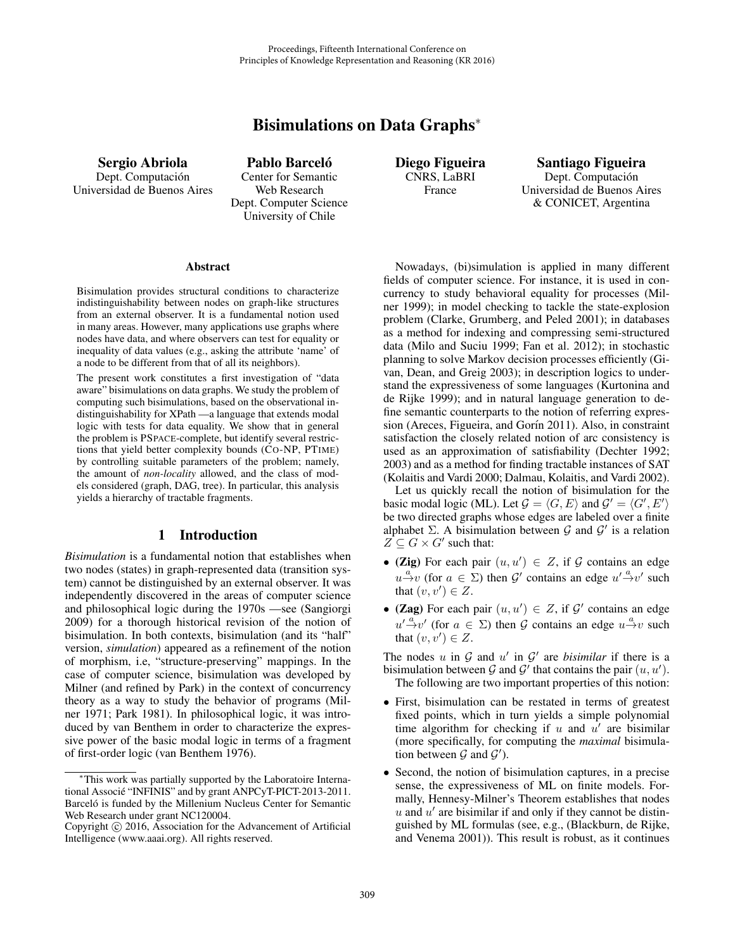# Bisimulations on Data Graphs<sup>∗</sup>

Sergio Abriola Dept. Computación Universidad de Buenos Aires

Pablo Barceló Center for Semantic Web Research Dept. Computer Science University of Chile

Diego Figueira CNRS, LaBRI France

Santiago Figueira Dept. Computación Universidad de Buenos Aires & CONICET, Argentina

#### **Abstract**

Bisimulation provides structural conditions to characterize indistinguishability between nodes on graph-like structures from an external observer. It is a fundamental notion used in many areas. However, many applications use graphs where nodes have data, and where observers can test for equality or inequality of data values (e.g., asking the attribute 'name' of a node to be different from that of all its neighbors).

The present work constitutes a first investigation of "data aware" bisimulations on data graphs. We study the problem of computing such bisimulations, based on the observational indistinguishability for XPath —a language that extends modal logic with tests for data equality. We show that in general the problem is PSPACE-complete, but identify several restrictions that yield better complexity bounds (CO-NP, PTIME) by controlling suitable parameters of the problem; namely, the amount of *non-locality* allowed, and the class of models considered (graph, DAG, tree). In particular, this analysis yields a hierarchy of tractable fragments.

## 1 Introduction

*Bisimulation* is a fundamental notion that establishes when two nodes (states) in graph-represented data (transition system) cannot be distinguished by an external observer. It was independently discovered in the areas of computer science and philosophical logic during the 1970s —see (Sangiorgi 2009) for a thorough historical revision of the notion of bisimulation. In both contexts, bisimulation (and its "half" version, *simulation*) appeared as a refinement of the notion of morphism, i.e, "structure-preserving" mappings. In the case of computer science, bisimulation was developed by Milner (and refined by Park) in the context of concurrency theory as a way to study the behavior of programs (Milner 1971; Park 1981). In philosophical logic, it was introduced by van Benthem in order to characterize the expressive power of the basic modal logic in terms of a fragment of first-order logic (van Benthem 1976).

Nowadays, (bi)simulation is applied in many different fields of computer science. For instance, it is used in concurrency to study behavioral equality for processes (Milner 1999); in model checking to tackle the state-explosion problem (Clarke, Grumberg, and Peled 2001); in databases as a method for indexing and compressing semi-structured data (Milo and Suciu 1999; Fan et al. 2012); in stochastic planning to solve Markov decision processes efficiently (Givan, Dean, and Greig 2003); in description logics to understand the expressiveness of some languages (Kurtonina and de Rijke 1999); and in natural language generation to define semantic counterparts to the notion of referring expression (Areces, Figueira, and Gorín 2011). Also, in constraint satisfaction the closely related notion of arc consistency is used as an approximation of satisfiability (Dechter 1992; 2003) and as a method for finding tractable instances of SAT (Kolaitis and Vardi 2000; Dalmau, Kolaitis, and Vardi 2002).

Let us quickly recall the notion of bisimulation for the basic modal logic (ML). Let  $\mathcal{G} = \langle G, E \rangle$  and  $\mathcal{G}' = \langle G', E' \rangle$ be two directed graphs whose edges are labeled over a finite alphabet  $\Sigma$ . A bisimulation between  $\mathcal G$  and  $\mathcal G'$  is a relation  $Z \subseteq G \times G'$  such that:

- (Zig) For each pair  $(u, u') \in Z$ , if G contains an edge  $u \stackrel{a}{\rightarrow} v$  (for  $a \in \Sigma$ ) then  $\mathcal{G}'$  contains an edge  $u' \stackrel{a}{\rightarrow} v'$  such that  $(v, v') \in Z$ .
- (Zag) For each pair  $(u, u') \in Z$ , if  $\mathcal{G}'$  contains an edge  $u' \stackrel{\alpha}{\rightarrow} v'$  (for  $a \in \Sigma$ ) then G contains an edge  $u \stackrel{a}{\rightarrow} v$  such that  $(v, v') \in Z$ .

The nodes u in  $G$  and u' in  $G'$  are *bisimilar* if there is a bisimulation between G and G' that contains the pair  $(u, u')$ . The following are two important properties of this notion:

- First, bisimulation can be restated in terms of greatest fixed points, which in turn yields a simple polynomial time algorithm for checking if u and  $u'$  are bisimilar (more specifically, for computing the *maximal* bisimulation between  $G$  and  $G'$ ).
- Second, the notion of bisimulation captures, in a precise sense, the expressiveness of ML on finite models. Formally, Hennesy-Milner's Theorem establishes that nodes  $u$  and  $u'$  are bisimilar if and only if they cannot be distinguished by ML formulas (see, e.g., (Blackburn, de Rijke, and Venema 2001)). This result is robust, as it continues

<sup>∗</sup>This work was partially supported by the Laboratoire International Associé "INFINIS" and by grant ANPCyT-PICT-2013-2011. Barceló is funded by the Millenium Nucleus Center for Semantic Web Research under grant NC120004.

Copyright  $\odot$  2016, Association for the Advancement of Artificial Intelligence (www.aaai.org). All rights reserved.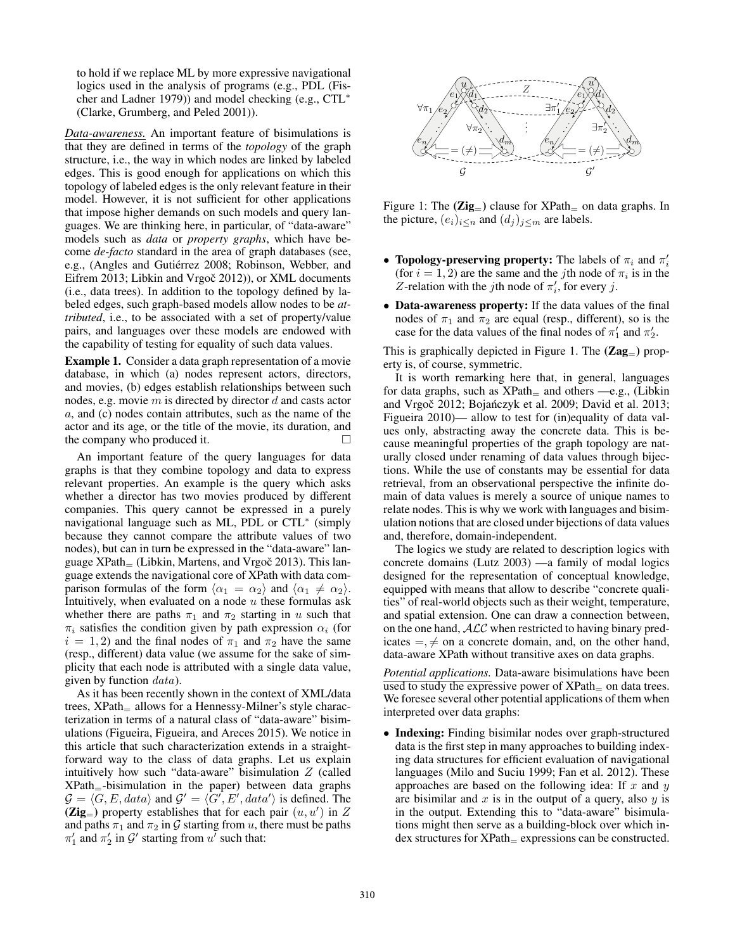to hold if we replace ML by more expressive navigational logics used in the analysis of programs (e.g., PDL (Fischer and Ladner 1979)) and model checking (e.g., CTL<sup>∗</sup> (Clarke, Grumberg, and Peled 2001)).

*Data-awareness.* An important feature of bisimulations is that they are defined in terms of the *topology* of the graph structure, i.e., the way in which nodes are linked by labeled edges. This is good enough for applications on which this topology of labeled edges is the only relevant feature in their model. However, it is not sufficient for other applications that impose higher demands on such models and query languages. We are thinking here, in particular, of "data-aware" models such as *data* or *property graphs*, which have become *de-facto* standard in the area of graph databases (see, e.g., (Angles and Gutiérrez 2008; Robinson, Webber, and Eifrem 2013; Libkin and Vrgoč 2012)), or XML documents (i.e., data trees). In addition to the topology defined by labeled edges, such graph-based models allow nodes to be *attributed*, i.e., to be associated with a set of property/value pairs, and languages over these models are endowed with the capability of testing for equality of such data values.

Example 1. Consider a data graph representation of a movie database, in which (a) nodes represent actors, directors, and movies, (b) edges establish relationships between such nodes, e.g. movie  $m$  is directed by director  $d$  and casts actor a, and (c) nodes contain attributes, such as the name of the actor and its age, or the title of the movie, its duration, and the company who produced it.  $\Box$ 

An important feature of the query languages for data graphs is that they combine topology and data to express relevant properties. An example is the query which asks whether a director has two movies produced by different companies. This query cannot be expressed in a purely navigational language such as ML, PDL or CTL<sup>∗</sup> (simply because they cannot compare the attribute values of two nodes), but can in turn be expressed in the "data-aware" language  $XPath_{=}$  (Libkin, Martens, and Vrgoč 2013). This language extends the navigational core of XPath with data comparison formulas of the form  $\langle \alpha_1 = \alpha_2 \rangle$  and  $\langle \alpha_1 \neq \alpha_2 \rangle$ . Intuitively, when evaluated on a node  $u$  these formulas ask whether there are paths  $\pi_1$  and  $\pi_2$  starting in u such that  $\pi_i$  satisfies the condition given by path expression  $\alpha_i$  (for  $i = 1, 2$  and the final nodes of  $\pi_1$  and  $\pi_2$  have the same (resp., different) data value (we assume for the sake of simplicity that each node is attributed with a single data value, given by function  $data$ ).

As it has been recently shown in the context of XML/data trees, XPath<sub>=</sub> allows for a Hennessy-Milner's style characterization in terms of a natural class of "data-aware" bisimulations (Figueira, Figueira, and Areces 2015). We notice in this article that such characterization extends in a straightforward way to the class of data graphs. Let us explain intuitively how such "data-aware" bisimulation  $Z$  (called  $XPath$ =-bisimulation in the paper) between data graphs  $\mathcal{G} = \langle G, E, data \rangle$  and  $\mathcal{G}' = \langle G', E', data' \rangle$  is defined. The  $(Zig_{=} )$  property establishes that for each pair  $(u, u')$  in Z and paths  $\pi_1$  and  $\pi_2$  in G starting from u, there must be paths  $\pi'_1$  and  $\pi'_2$  in  $\mathcal{G}'$  starting from  $u'$  such that:



Figure 1: The  $(Zig_{=} )$  clause for  $XPath_{=}$  on data graphs. In the picture,  $(e_i)_{i \le n}$  and  $(d_i)_{i \le m}$  are labels.

- Topology-preserving property: The labels of  $\pi_i$  and  $\pi'_i$ (for  $i = 1, 2$ ) are the same and the *j*th node of  $\pi_i$  is in the Z-relation with the jth node of  $\pi'_i$ , for every j.
- Data-awareness property: If the data values of the final nodes of  $\pi_1$  and  $\pi_2$  are equal (resp., different), so is the case for the data values of the final nodes of  $\pi'_1$  and  $\pi'_2$ .

This is graphically depicted in Figure 1. The  $(Zag_{-})$  property is, of course, symmetric.

It is worth remarking here that, in general, languages for data graphs, such as  $XPath$ <sub>=</sub> and others  $-e.g.,$  (Libkin and Vrgoč 2012; Bojańczyk et al. 2009; David et al. 2013; Figueira 2010)— allow to test for (in)equality of data values only, abstracting away the concrete data. This is because meaningful properties of the graph topology are naturally closed under renaming of data values through bijections. While the use of constants may be essential for data retrieval, from an observational perspective the infinite domain of data values is merely a source of unique names to relate nodes. This is why we work with languages and bisimulation notions that are closed under bijections of data values and, therefore, domain-independent.

The logics we study are related to description logics with concrete domains (Lutz 2003) —a family of modal logics designed for the representation of conceptual knowledge, equipped with means that allow to describe "concrete qualities" of real-world objects such as their weight, temperature, and spatial extension. One can draw a connection between, on the one hand, ALC when restricted to having binary predicates  $=$ ,  $\neq$  on a concrete domain, and, on the other hand, data-aware XPath without transitive axes on data graphs.

*Potential applications.* Data-aware bisimulations have been used to study the expressive power of  $XPath<sub>=</sub>$  on data trees. We foresee several other potential applications of them when interpreted over data graphs:

• Indexing: Finding bisimilar nodes over graph-structured data is the first step in many approaches to building indexing data structures for efficient evaluation of navigational languages (Milo and Suciu 1999; Fan et al. 2012). These approaches are based on the following idea: If  $x$  and  $y$ are bisimilar and  $x$  is in the output of a query, also  $y$  is in the output. Extending this to "data-aware" bisimulations might then serve as a building-block over which in $dex$  structures for  $XPath_{\pm}$  expressions can be constructed.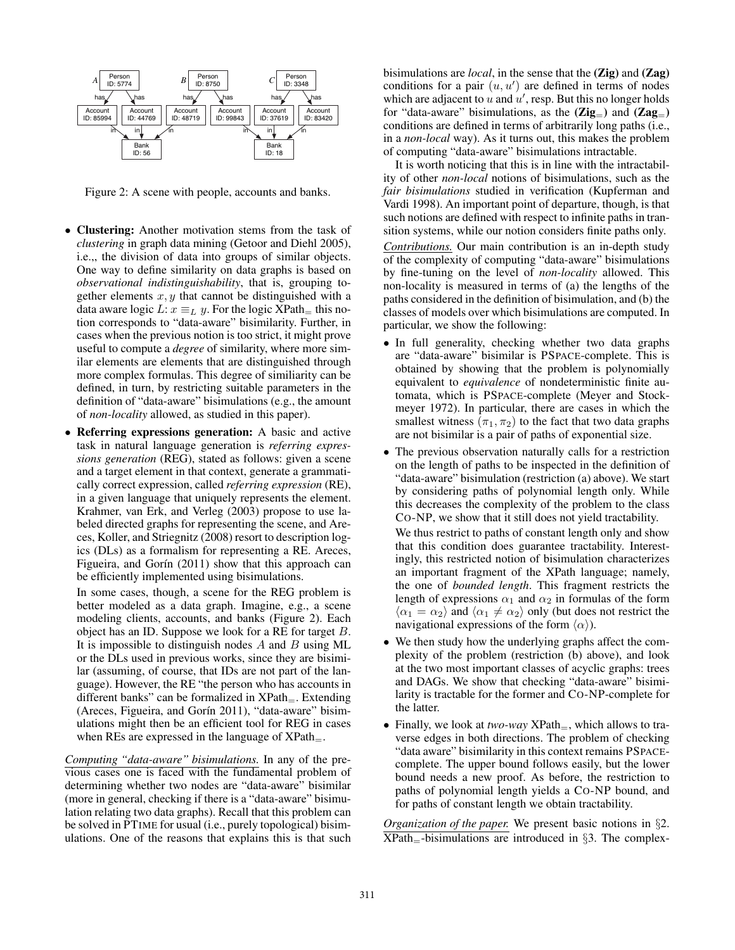

Figure 2: A scene with people, accounts and banks.

- Clustering: Another motivation stems from the task of *clustering* in graph data mining (Getoor and Diehl 2005), i.e.,, the division of data into groups of similar objects. One way to define similarity on data graphs is based on *observational indistinguishability*, that is, grouping together elements  $x, y$  that cannot be distinguished with a data aware logic L:  $x \equiv_L y$ . For the logic XPath= this notion corresponds to "data-aware" bisimilarity. Further, in cases when the previous notion is too strict, it might prove useful to compute a *degree* of similarity, where more similar elements are elements that are distinguished through more complex formulas. This degree of similiarity can be defined, in turn, by restricting suitable parameters in the definition of "data-aware" bisimulations (e.g., the amount of *non-locality* allowed, as studied in this paper).
- Referring expressions generation: A basic and active task in natural language generation is *referring expressions generation* (REG), stated as follows: given a scene and a target element in that context, generate a grammatically correct expression, called *referring expression* (RE), in a given language that uniquely represents the element. Krahmer, van Erk, and Verleg (2003) propose to use labeled directed graphs for representing the scene, and Areces, Koller, and Striegnitz (2008) resort to description logics (DLs) as a formalism for representing a RE. Areces, Figueira, and Gorín  $(2011)$  show that this approach can be efficiently implemented using bisimulations.

In some cases, though, a scene for the REG problem is better modeled as a data graph. Imagine, e.g., a scene modeling clients, accounts, and banks (Figure 2). Each object has an ID. Suppose we look for a RE for target B. It is impossible to distinguish nodes  $A$  and  $B$  using ML or the DLs used in previous works, since they are bisimilar (assuming, of course, that IDs are not part of the language). However, the RE "the person who has accounts in different banks" can be formalized in  $XPath_$ . Extending (Areces, Figueira, and Gorín 2011), "data-aware" bisimulations might then be an efficient tool for REG in cases when REs are expressed in the language of  $XPath_-.$ 

*Computing "data-aware" bisimulations.* In any of the previous cases one is faced with the fundamental problem of determining whether two nodes are "data-aware" bisimilar (more in general, checking if there is a "data-aware" bisimulation relating two data graphs). Recall that this problem can be solved in PTIME for usual (i.e., purely topological) bisimulations. One of the reasons that explains this is that such

bisimulations are *local*, in the sense that the (Zig) and (Zag) conditions for a pair  $(u, u')$  are defined in terms of nodes which are adjacent to  $\hat{u}$  and  $\hat{u}'$ , resp. But this no longer holds for "data-aware" bisimulations, as the  $(Zig_{=} )$  and  $(Zag_{=} )$ conditions are defined in terms of arbitrarily long paths (i.e., in a *non-local* way). As it turns out, this makes the problem of computing "data-aware" bisimulations intractable.

It is worth noticing that this is in line with the intractability of other *non-local* notions of bisimulations, such as the *fair bisimulations* studied in verification (Kupferman and Vardi 1998). An important point of departure, though, is that such notions are defined with respect to infinite paths in transition systems, while our notion considers finite paths only. *Contributions.* Our main contribution is an in-depth study of the complexity of computing "data-aware" bisimulations by fine-tuning on the level of *non-locality* allowed. This non-locality is measured in terms of (a) the lengths of the

paths considered in the definition of bisimulation, and (b) the classes of models over which bisimulations are computed. In particular, we show the following:

- In full generality, checking whether two data graphs are "data-aware" bisimilar is PSPACE-complete. This is obtained by showing that the problem is polynomially equivalent to *equivalence* of nondeterministic finite automata, which is PSPACE-complete (Meyer and Stockmeyer 1972). In particular, there are cases in which the smallest witness  $(\pi_1, \pi_2)$  to the fact that two data graphs are not bisimilar is a pair of paths of exponential size.
- The previous observation naturally calls for a restriction on the length of paths to be inspected in the definition of "data-aware" bisimulation (restriction (a) above). We start by considering paths of polynomial length only. While this decreases the complexity of the problem to the class CO-NP, we show that it still does not yield tractability. We thus restrict to paths of constant length only and show that this condition does guarantee tractability. Interestingly, this restricted notion of bisimulation characterizes an important fragment of the XPath language; namely,
	- the one of *bounded length*. This fragment restricts the length of expressions  $\alpha_1$  and  $\alpha_2$  in formulas of the form  $\langle \alpha_1 = \alpha_2 \rangle$  and  $\langle \alpha_1 \neq \alpha_2 \rangle$  only (but does not restrict the navigational expressions of the form  $\langle \alpha \rangle$ ).
- We then study how the underlying graphs affect the complexity of the problem (restriction (b) above), and look at the two most important classes of acyclic graphs: trees and DAGs. We show that checking "data-aware" bisimilarity is tractable for the former and CO-NP-complete for the latter.
- Finally, we look at *two-way*  $XPath_$ , which allows to traverse edges in both directions. The problem of checking "data aware" bisimilarity in this context remains PSPACEcomplete. The upper bound follows easily, but the lower bound needs a new proof. As before, the restriction to paths of polynomial length yields a CO-NP bound, and for paths of constant length we obtain tractability.

*Organization of the paper.* We present basic notions in §2.  $XPath$ <sub>=</sub>-bisimulations are introduced in §3. The complex-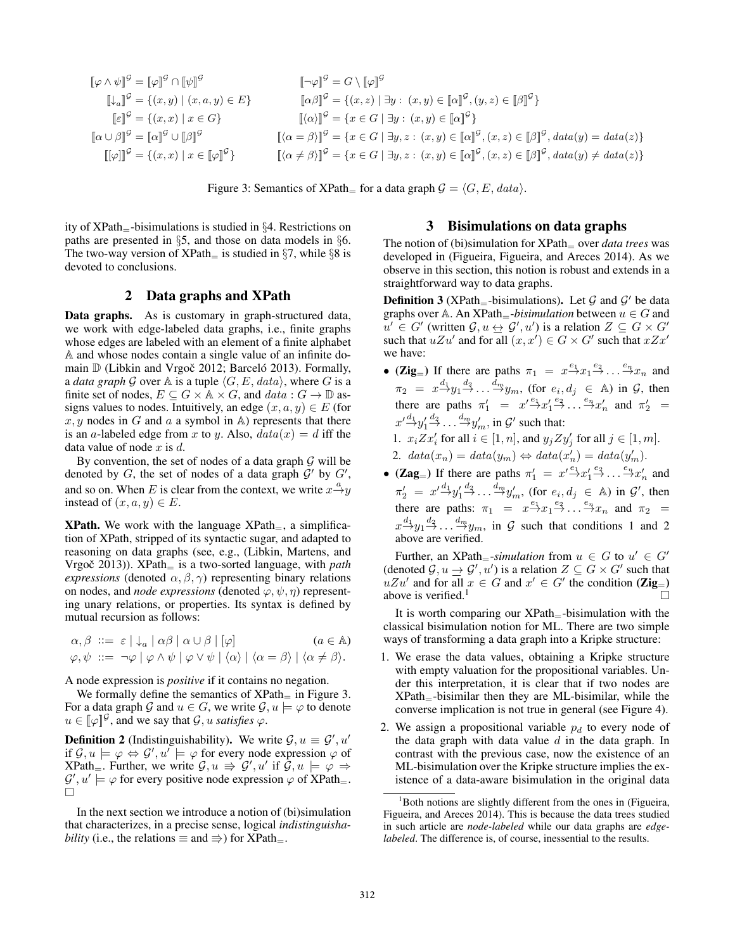$$
\begin{aligned}\n\llbracket \varphi \wedge \psi \rrbracket^{\mathcal{G}} &= \llbracket \varphi \rrbracket^{\mathcal{G}} \cap \llbracket \psi \rrbracket^{\mathcal{G}} & \llbracket \neg \varphi \rrbracket^{\mathcal{G}} &= G \setminus \llbracket \varphi \rrbracket^{\mathcal{G}} \\
\llbracket \varphi \rrbracket^{\mathcal{G}} &= \{(x, y) \mid (x, a, y) \in E\} & \llbracket \alpha \beta \rrbracket^{\mathcal{G}} &= \{(x, z) \mid \exists y : (x, y) \in \llbracket \alpha \rrbracket^{\mathcal{G}}, (y, z) \in \llbracket \beta \rrbracket^{\mathcal{G}}\} \\
\llbracket \varepsilon \rrbracket^{\mathcal{G}} &= \{(x, x) \mid x \in G\} & \llbracket \langle \alpha \rangle \rrbracket^{\mathcal{G}} &= \{x \in G \mid \exists y : (x, y) \in \llbracket \alpha \rrbracket^{\mathcal{G}}\} \\
\llbracket \langle \alpha \rangle \beta \rrbracket^{\mathcal{G}} &= \{(x, x) \mid x \in \llbracket \varphi \rrbracket^{\mathcal{G}}\} & \llbracket \langle \alpha \neq \beta \rangle \rrbracket^{\mathcal{G}} &= \{x \in G \mid \exists y, z : (x, y) \in \llbracket \alpha \rrbracket^{\mathcal{G}}, (x, z) \in \llbracket \beta \rrbracket^{\mathcal{G}}, data(y) = data(z)\} \\
\llbracket \langle \varphi \rrbracket^{\mathcal{G}} &= \{(x, x) \mid x \in \llbracket \varphi \rrbracket^{\mathcal{G}}\} & \llbracket \langle \alpha \neq \beta \rangle \rrbracket^{\mathcal{G}} &= \{x \in G \mid \exists y, z : (x, y) \in \llbracket \alpha \rrbracket^{\mathcal{G}}, (x, z) \in \llbracket \beta \rrbracket^{\mathcal{G}}, data(y) \neq data(z)\}\n\end{aligned}
$$

Figure 3: Semantics of XPath<sub>=</sub> for a data graph  $\mathcal{G} = \langle G, E, data \rangle$ .

ity of  $XPath$ <sub>=</sub>-bisimulations is studied in §4. Restrictions on paths are presented in §5, and those on data models in §6. The two-way version of XPath $=$  is studied in §7, while §8 is devoted to conclusions.

## 2 Data graphs and XPath

Data graphs. As is customary in graph-structured data, we work with edge-labeled data graphs, i.e., finite graphs whose edges are labeled with an element of a finite alphabet A and whose nodes contain a single value of an infinite domain  $D$  (Libkin and Vrgoč 2012; Barceló 2013). Formally, a *data graph* G over A is a tuple  $\langle G, E, data \rangle$ , where G is a finite set of nodes,  $E \subseteq G \times \mathbb{A} \times G$ , and  $data : G \to \mathbb{D}$  assigns values to nodes. Intuitively, an edge  $(x, a, y) \in E$  (for  $x, y$  nodes in G and a a symbol in A) represents that there is an a-labeled edge from x to y. Also,  $data(x) = d$  iff the data value of node  $x$  is  $d$ .

By convention, the set of nodes of a data graph  $G$  will be denoted by G, the set of nodes of a data graph  $\mathcal{G}'$  by  $\mathcal{G}'$ , and so on. When E is clear from the context, we write  $x \stackrel{a}{\rightarrow} y$ instead of  $(x, a, y) \in E$ .

**XPath.** We work with the language  $XPath_$ , a simplification of XPath, stripped of its syntactic sugar, and adapted to reasoning on data graphs (see, e.g., (Libkin, Martens, and Vrgoč 2013)).  $XPath_$  is a two-sorted language, with *path expressions* (denoted  $\alpha, \beta, \gamma$ ) representing binary relations on nodes, and *node expressions* (denoted  $\varphi, \psi, \eta$ ) representing unary relations, or properties. Its syntax is defined by mutual recursion as follows:

$$
\begin{array}{ll}\n\alpha, \beta & ::= & \varepsilon \mid \downarrow_a \mid \alpha \beta \mid \alpha \cup \beta \mid [\varphi] \\
\varphi, \psi & ::= & \neg \varphi \mid \varphi \land \psi \mid \varphi \lor \psi \mid \langle \alpha \rangle \mid \langle \alpha = \beta \rangle \mid \langle \alpha \neq \beta \rangle.\n\end{array}
$$

A node expression is *positive* if it contains no negation.

We formally define the semantics of  $XPath$  in Figure 3. For a data graph G and  $u \in G$ , we write  $\mathcal{G}, u \models \varphi$  to denote  $u \in [\![\varphi]\!]^{\mathcal{G}}$ , and we say that  $\mathcal{G}, u$  *satisfies*  $\varphi$ .

**Definition 2** (Indistinguishability). We write  $\mathcal{G}, u \equiv \mathcal{G}', u'$ if  $\mathcal{G}, u \models \varphi \Leftrightarrow \mathcal{G}', u' \models \varphi$  for every node expression  $\varphi$  of  $XPath$ . Further, we write  $G, u \Rightarrow G', u'$  if  $\tilde{G}, u \models \varphi \Rightarrow$  $\mathcal{G}', u' \models \varphi$  for every positive node expression  $\varphi$  of XPath=.  $\Box$ 

In the next section we introduce a notion of (bi)simulation that characterizes, in a precise sense, logical *indistinguishability* (i.e., the relations  $\equiv$  and  $\Rightarrow$ ) for XPath $\equiv$ .

### 3 Bisimulations on data graphs

The notion of (bi)simulation for XPath<sub>—</sub> over *data trees* was developed in (Figueira, Figueira, and Areces 2014). As we observe in this section, this notion is robust and extends in a straightforward way to data graphs.

**Definition 3** (XPath<sub>=</sub>-bisimulations). Let G and G' be data graphs over A. An  $XPath$ <sub>=</sub>-*bisimulation* between  $u \in G$  and  $u' \in G'$  (written  $\mathcal{G}, u \leftrightarrow \mathcal{G}', u'$ ) is a relation  $Z \subseteq G \times G'$ such that  $uZu'$  and for all  $(x, x') \in G \times G'$  such that  $xZx'$ we have:

- (Zig<sub>=</sub>) If there are paths  $\pi_1 = x \xrightarrow{e_1} x_1 \xrightarrow{e_2} \dots \xrightarrow{e_n} x_n$  and  $\pi_2 = x \frac{d_1}{2} y_1 \frac{d_2}{2} \dots \frac{d_m}{2} y_m$ , (for  $e_i, d_j \in A$ ) in  $G$ , then there are paths  $\pi'_1 = x'^{\frac{e_1}{2}} x'_1 \xrightarrow{e_2} x'_2 \xrightarrow{e_n} x'_n$  and  $\pi'_2 =$  $x' \xrightarrow{d_1} y'_1 \xrightarrow{d_2} \dots \xrightarrow{d_m} y'_m$ , in  $\mathcal{G}'$  such that: 1.  $x_i Z x'_i$  for all  $i \in [1, n]$ , and  $y_j Z y'_j$  for all  $j \in [1, m]$ .
	- 2.  $data(x_n) = data(y_m) \Leftrightarrow data(x'_n) = data(y'_m)$ .
- (Zag<sub>=</sub>) If there are paths  $\pi'_1 = x'^{\frac{e_1}{2}} x'_1^{\frac{e_2}{2}} \cdots \overset{e_n}{\rightarrow} x'_n$  and  $\pi'_2 = x'^{\frac{d_1}{2}} y'_1^{\frac{d_2}{2}} \dots \overset{d_m}{\rightarrow} y'_m$ , (for  $e_i, d_j \in \mathbb{A}$ ) in  $\mathcal{G}'$ , then there are paths:  $\pi_1 = x \stackrel{e_1}{\rightarrow} x_1 \stackrel{e_2}{\rightarrow} \dots \stackrel{e_n}{\rightarrow} x_n$  and  $\pi_2 =$  $x \xrightarrow{d_1} y_1 \xrightarrow{d_2} \dots \xrightarrow{d_m} y_m$ , in G such that conditions 1 and 2 above are verified.

Further, an XPath<sub>=</sub>-simulation from  $u \in G$  to  $u' \in G'$ (denoted  $\mathcal{G}, u \to \mathcal{G}', u'$ ) is a relation  $Z \subseteq G \times G'$  such that  $uZu'$  and for all  $x \in G$  and  $x' \in G'$  the condition  $(\mathbf{Zig}_{=})$ above is verified. $<sup>1</sup>$ </sup>

It is worth comparing our  $XPath$ <sub>=</sub>-bisimulation with the classical bisimulation notion for ML. There are two simple ways of transforming a data graph into a Kripke structure:

- 1. We erase the data values, obtaining a Kripke structure with empty valuation for the propositional variables. Under this interpretation, it is clear that if two nodes are XPath=-bisimilar then they are ML-bisimilar, while the converse implication is not true in general (see Figure 4).
- 2. We assign a propositional variable  $p_d$  to every node of the data graph with data value  $d$  in the data graph. In contrast with the previous case, now the existence of an ML-bisimulation over the Kripke structure implies the existence of a data-aware bisimulation in the original data

<sup>&</sup>lt;sup>1</sup>Both notions are slightly different from the ones in (Figueira, Figueira, and Areces 2014). This is because the data trees studied in such article are *node-labeled* while our data graphs are *edgelabeled*. The difference is, of course, inessential to the results.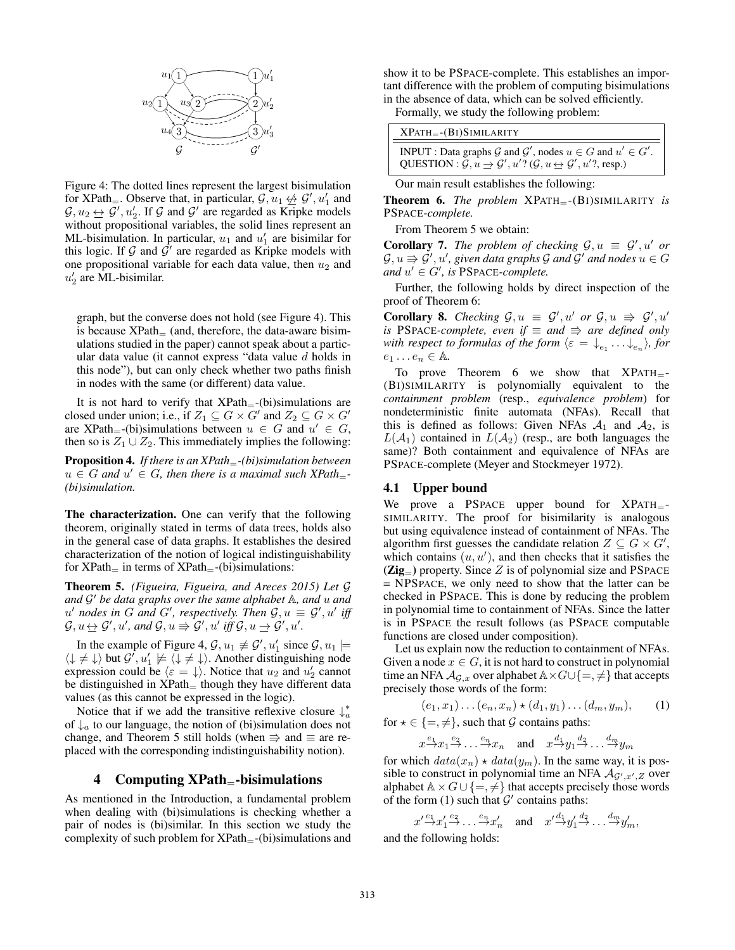

Figure 4: The dotted lines represent the largest bisimulation for XPath<sub>=</sub>. Observe that, in particular,  $\mathcal{G}, u_1 \nleftrightarrow \mathcal{G}', u'_1$  and  $\mathcal{G}, u_2 \leftrightarrow \mathcal{G}', u'_2$ . If  $\mathcal G$  and  $\mathcal G'$  are regarded as Kripke models without propositional variables, the solid lines represent an ML-bisimulation. In particular,  $u_1$  and  $u'_1$  are bisimilar for this logic. If  $G$  and  $G'$  are regarded as Kripke models with one propositional variable for each data value, then  $u_2$  and  $u'_2$  are ML-bisimilar.

graph, but the converse does not hold (see Figure 4). This is because  $XPath_{-}$  (and, therefore, the data-aware bisimulations studied in the paper) cannot speak about a particular data value (it cannot express "data value d holds in this node"), but can only check whether two paths finish in nodes with the same (or different) data value.

It is not hard to verify that  $XPath_{-}$ -(bi)simulations are closed under union; i.e., if  $Z_1 \subseteq G \times G'$  and  $Z_2 \subseteq G \times G'$ are XPath<sub>=</sub>-(bi)simulations between  $u \in G$  and  $u' \in G$ , then so is  $Z_1 \cup Z_2$ . This immediately implies the following:

Proposition 4. *If there is an XPath*=*-(bi)simulation between*  $u \in G$  and  $u' \in G$ , then there is a maximal such XPath<sub>=</sub>-*(bi)simulation.*

The characterization. One can verify that the following theorem, originally stated in terms of data trees, holds also in the general case of data graphs. It establishes the desired characterization of the notion of logical indistinguishability for  $XPath$ <sub>=</sub> in terms of  $XPath$ <sub>=</sub>-(bi)simulations:

Theorem 5. *(Figueira, Figueira, and Areces 2015) Let* G and G' be data graphs over the same alphabet A, and u and  $u'$  nodes in G and G', respectively. Then  $\mathcal{G}, u \equiv \mathcal{G}', u'$  iff  $\mathcal{G}, u \leftrightarrow \mathcal{G}', u'$ , and  $\mathcal{G}, u \Rightarrow \mathcal{G}', u'$  iff  $\mathcal{G}, u \rightarrow \mathcal{G}', u'$ .

In the example of Figure 4,  $\mathcal{G}, u_1 \not\equiv \mathcal{G}', u_1'$  since  $\mathcal{G}, u_1 \models$  $\langle \downarrow \neq \downarrow \rangle$  but  $\mathcal{G}', u'_1 \not\models \langle \downarrow \neq \downarrow \rangle$ . Another distinguishing node expression could be  $\langle \varepsilon = \downarrow \rangle$ . Notice that  $u_2$  and  $u_2'$  cannot be distinguished in  $XPath$ <sub>=</sub> though they have different data values (as this cannot be expressed in the logic).

Notice that if we add the transitive reflexive closure  $\downarrow_a^*$ of  $\downarrow_a$  to our language, the notion of (bi)simulation does not change, and Theorem 5 still holds (when  $\Rightarrow$  and  $\equiv$  are replaced with the corresponding indistinguishability notion).

### 4 Computing  $XPath$ <sub>=</sub>-bisimulations

As mentioned in the Introduction, a fundamental problem when dealing with (bi)simulations is checking whether a pair of nodes is (bi)similar. In this section we study the complexity of such problem for  $XPath_{=}$ -(bi)simulations and

show it to be PSPACE-complete. This establishes an important difference with the problem of computing bisimulations in the absence of data, which can be solved efficiently.

Formally, we study the following problem:

| $XPATH = -(BI)SIMILARITY$                                                                                                                                                                                       |  |
|-----------------------------------------------------------------------------------------------------------------------------------------------------------------------------------------------------------------|--|
| <b>INPUT</b> : Data graphs G and $\mathcal{G}'$ , nodes $u \in G$ and $u' \in G'$ .<br>QUESTION : $\mathcal{G}, u \rightarrow \mathcal{G}', u'$ ? ( $\mathcal{G}, u \leftrightarrow \mathcal{G}', u'$ ?, resp.) |  |

Our main result establishes the following:

Theorem 6. *The problem* XPATH=-(BI)SIMILARITY *is* PSPACE*-complete.*

From Theorem 5 we obtain:

**Corollary 7.** The problem of checking  $G, u \equiv G', u'$  or  $\mathcal{G}, u \Rrightarrow \mathcal{G}', u',$  given data graphs  $\mathcal G$  and  $\mathcal G'$  and nodes  $u \in G$  $and u' \in G'$ , is PSPACE-complete.

Further, the following holds by direct inspection of the proof of Theorem 6:

**Corollary 8.** *Checking*  $G, u \equiv G', u'$  *or*  $G, u \Rightarrow G', u'$ *is* PSPACE-complete, even if  $\equiv$  and  $\Rightarrow$  are defined only *with respect to formulas of the form*  $\langle \varepsilon = \downarrow_e, \dots \downarrow_e \rangle$ , for  $e_1 \ldots e_n \in \mathbb{A}$ .

To prove Theorem 6 we show that  $XPATH$ <sub>=</sub>-(BI)SIMILARITY is polynomially equivalent to the *containment problem* (resp., *equivalence problem*) for nondeterministic finite automata (NFAs). Recall that this is defined as follows: Given NFAs  $A_1$  and  $A_2$ , is  $L(\mathcal{A}_1)$  contained in  $L(\mathcal{A}_2)$  (resp., are both languages the same)? Both containment and equivalence of NFAs are PSPACE-complete (Meyer and Stockmeyer 1972).

#### 4.1 Upper bound

We prove a PSPACE upper bound for  $XPATH$ <sub>=</sub>-SIMILARITY. The proof for bisimilarity is analogous but using equivalence instead of containment of NFAs. The algorithm first guesses the candidate relation  $Z \subseteq G \times G'$ , which contains  $(u, u')$ , and then checks that it satisfies the  $(Zig_{=})$  property. Since Z is of polynomial size and PSPACE = NPSPACE, we only need to show that the latter can be checked in PSPACE. This is done by reducing the problem in polynomial time to containment of NFAs. Since the latter is in PSPACE the result follows (as PSPACE computable functions are closed under composition).

Let us explain now the reduction to containment of NFAs. Given a node  $x \in G$ , it is not hard to construct in polynomial time an NFA  $\mathcal{A}_{\mathcal{G},x}$  over alphabet  $\mathbb{A}\times G\cup\{=\neq\}$  that accepts precisely those words of the form:

$$
(e_1, x_1) \dots (e_n, x_n) \star (d_1, y_1) \dots (d_m, y_m), \quad (1)
$$

for  $\star \in \{ =, \neq \}$ , such that  $\mathcal G$  contains paths:

 $x \xrightarrow{e_1} x_1 \xrightarrow{e_2} \dots \xrightarrow{e_n} x_n$  and  $x \xrightarrow{d_1} y_1 \xrightarrow{d_2} \dots \xrightarrow{d_m} y_m$ 

for which  $data(x_n) \star data(y_m)$ . In the same way, it is possible to construct in polynomial time an NFA  $\mathcal{A}_{\mathcal{G}',x',Z}$  over alphabet  $\mathbb{A} \times G \cup \{=\neq\}$  that accepts precisely those words of the form (1) such that  $\mathcal{G}'$  contains paths:

 $x' \xrightarrow{e_1} x'_1 \xrightarrow{e_2} \dots \xrightarrow{e_n} x'_n$  and  $x' \xrightarrow{d_1} y'_1 \xrightarrow{d_2} \dots \xrightarrow{d_m} y'_m$ , and the following holds: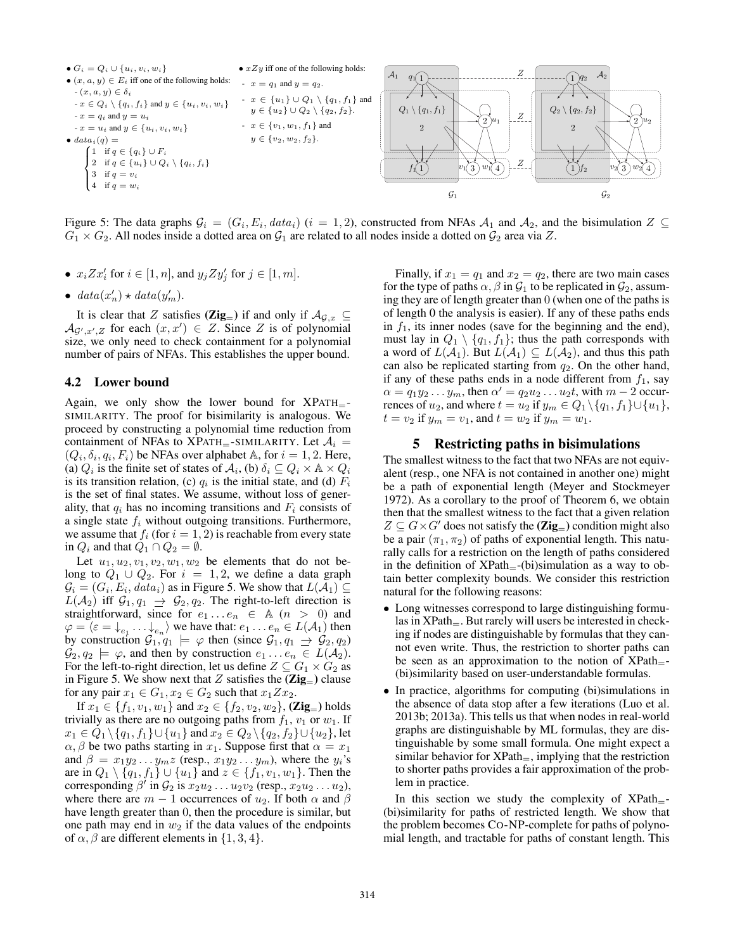

Figure 5: The data graphs  $G_i = (G_i, E_i, data_i)$   $(i = 1, 2)$ , constructed from NFAs  $A_1$  and  $A_2$ , and the bisimulation  $Z \subseteq$  $G_1 \times G_2$ . All nodes inside a dotted area on  $G_1$  are related to all nodes inside a dotted on  $G_2$  area via Z.

- $x_i Z x'_i$  for  $i \in [1, n]$ , and  $y_j Z y'_j$  for  $j \in [1, m]$ .
- $data(x'_n) \star data(y'_m)$ .

It is clear that Z satisfies ( $\text{Zig}_{=}$ ) if and only if  $\mathcal{A}_{\mathcal{G},x} \subseteq$  $\mathcal{A}_{\mathcal{G}',x',Z}$  for each  $(x,x') \in Z$ . Since Z is of polynomial size, we only need to check containment for a polynomial number of pairs of NFAs. This establishes the upper bound.

### 4.2 Lower bound

Again, we only show the lower bound for  $XPATH_{=}$ -SIMILARITY. The proof for bisimilarity is analogous. We proceed by constructing a polynomial time reduction from containment of NFAs to XPATH<sub>=</sub>-SIMILARITY. Let  $A_i$  =  $(Q_i, \delta_i, q_i, F_i)$  be NFAs over alphabet A, for  $i = 1, 2$ . Here, (a)  $Q_i$  is the finite set of states of  $A_i$ , (b)  $\delta_i \subseteq Q_i \times A \times Q_i$ is its transition relation, (c)  $q_i$  is the initial state, and (d)  $F_i$ is the set of final states. We assume, without loss of generality, that  $q_i$  has no incoming transitions and  $F_i$  consists of a single state  $f_i$  without outgoing transitions. Furthermore, we assume that  $f_i$  (for  $i = 1, 2$ ) is reachable from every state in  $Q_i$  and that  $Q_1 \cap Q_2 = \emptyset$ .

Let  $u_1, u_2, v_1, v_2, w_1, w_2$  be elements that do not belong to  $Q_1 \cup Q_2$ . For  $i = 1, 2$ , we define a data graph  $\mathcal{G}_i = (G_i, E_i, data_i)$  as in Figure 5. We show that  $L(\mathcal{A}_1) \subseteq$  $L(\mathcal{A}_2)$  iff  $\mathcal{G}_1, q_1 \rightarrow \mathcal{G}_2, q_2$ . The right-to-left direction is straightforward, since for  $e_1 \ldots e_n \in A$   $(n > 0)$  and  $\varphi = \langle \varepsilon = \downarrow_{e_1} \ldots \downarrow_{e_n} \rangle$  we have that:  $e_1 \ldots e_n \in L(\mathcal{A}_1)$  then by construction  $\mathcal{G}_1, q_1 \models \varphi$  then (since  $\mathcal{G}_1, q_1 \Rightarrow \mathcal{G}_2, q_2$ )  $\mathcal{G}_2, q_2 \models \varphi$ , and then by construction  $e_1 \dots e_n \in L(\mathcal{A}_2)$ . For the left-to-right direction, let us define  $Z \subseteq G_1 \times G_2$  as in Figure 5. We show next that Z satisfies the  $(Zig_{=} )$  clause for any pair  $x_1 \in G_1, x_2 \in G_2$  such that  $x_1 Z x_2$ .

If  $x_1 \in \{f_1, v_1, w_1\}$  and  $x_2 \in \{f_2, v_2, w_2\}$ , (Zig<sub>=</sub>) holds trivially as there are no outgoing paths from  $f_1$ ,  $v_1$  or  $w_1$ . If  $x_1 \in Q_1 \setminus \{q_1, f_1\} \cup \{u_1\}$  and  $x_2 \in Q_2 \setminus \{q_2, f_2\} \cup \{u_2\}$ , let  $\alpha$ ,  $\beta$  be two paths starting in  $x_1$ . Suppose first that  $\alpha = x_1$ and  $\beta = x_1y_2 \ldots y_mz$  (resp.,  $x_1y_2 \ldots y_m$ ), where the  $y_i$ 's are in  $Q_1 \setminus \{q_1, f_1\} \cup \{u_1\}$  and  $z \in \{f_1, v_1, w_1\}$ . Then the corresponding  $\beta'$  in  $\mathcal{G}_2$  is  $x_2u_2 \ldots u_2v_2$  (resp.,  $x_2u_2 \ldots u_2$ ), where there are  $m - 1$  occurrences of  $u_2$ . If both  $\alpha$  and  $\beta$ have length greater than 0, then the procedure is similar, but one path may end in  $w_2$  if the data values of the endpoints of  $\alpha$ ,  $\beta$  are different elements in  $\{1, 3, 4\}$ .

Finally, if  $x_1 = q_1$  and  $x_2 = q_2$ , there are two main cases for the type of paths  $\alpha$ ,  $\beta$  in  $\mathcal{G}_1$  to be replicated in  $\mathcal{G}_2$ , assuming they are of length greater than 0 (when one of the paths is of length 0 the analysis is easier). If any of these paths ends in  $f_1$ , its inner nodes (save for the beginning and the end), must lay in  $Q_1 \setminus \{q_1, f_1\}$ ; thus the path corresponds with a word of  $L(\mathcal{A}_1)$ . But  $L(\mathcal{A}_1) \subseteq L(\mathcal{A}_2)$ , and thus this path can also be replicated starting from  $q_2$ . On the other hand, if any of these paths ends in a node different from  $f_1$ , say  $\alpha = q_1 y_2 \dots y_m$ , then  $\alpha' = q_2 u_2 \dots u_2 t$ , with  $m - 2$  occurrences of  $u_2$ , and where  $t = u_2$  if  $y_m \in Q_1 \setminus \{q_1, f_1\} \cup \{u_1\}$ ,  $t = v_2$  if  $y_m = v_1$ , and  $t = w_2$  if  $y_m = w_1$ .

## 5 Restricting paths in bisimulations

The smallest witness to the fact that two NFAs are not equivalent (resp., one NFA is not contained in another one) might be a path of exponential length (Meyer and Stockmeyer 1972). As a corollary to the proof of Theorem 6, we obtain then that the smallest witness to the fact that a given relation  $Z \subseteq G \times G'$  does not satisfy the (Zig<sub>=</sub>) condition might also be a pair  $(\pi_1, \pi_2)$  of paths of exponential length. This naturally calls for a restriction on the length of paths considered in the definition of  $XPath_{=}$ -(bi)simulation as a way to obtain better complexity bounds. We consider this restriction natural for the following reasons:

- Long witnesses correspond to large distinguishing formulas in  $XPath_$ . But rarely will users be interested in checking if nodes are distinguishable by formulas that they cannot even write. Thus, the restriction to shorter paths can be seen as an approximation to the notion of  $XPath$ (bi)similarity based on user-understandable formulas.
- In practice, algorithms for computing (bi)simulations in the absence of data stop after a few iterations (Luo et al. 2013b; 2013a). This tells us that when nodes in real-world graphs are distinguishable by ML formulas, they are distinguishable by some small formula. One might expect a similar behavior for  $XPath_-,$  implying that the restriction to shorter paths provides a fair approximation of the problem in practice.

In this section we study the complexity of  $XPath$ (bi)similarity for paths of restricted length. We show that the problem becomes CO-NP-complete for paths of polynomial length, and tractable for paths of constant length. This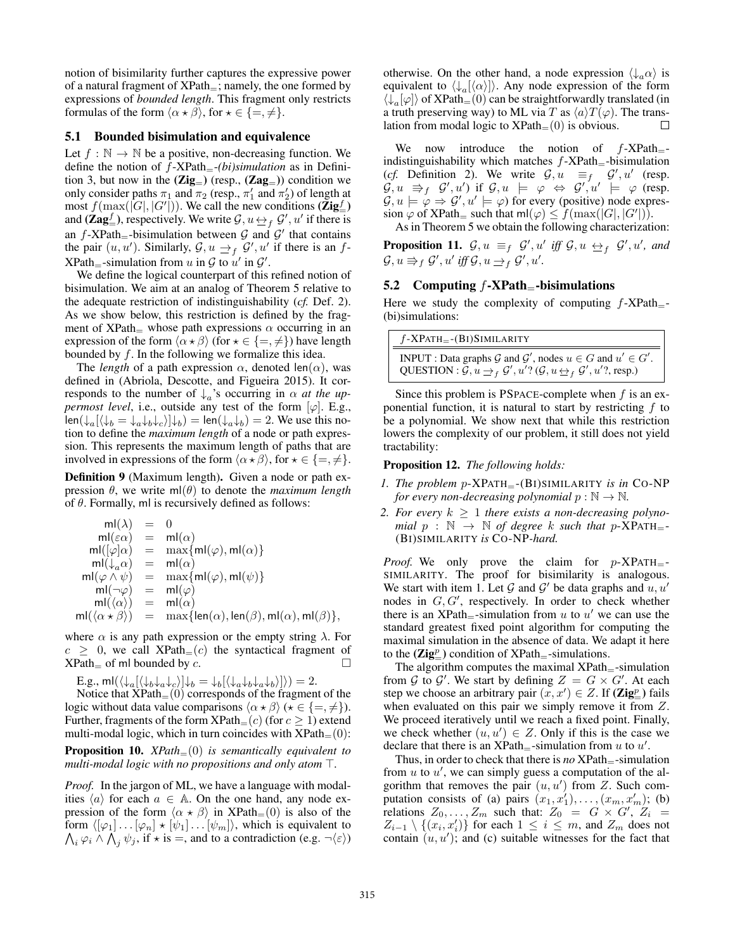notion of bisimilarity further captures the expressive power of a natural fragment of  $XPath$ <sub>=</sub>; namely, the one formed by expressions of *bounded length*. This fragment only restricts formulas of the form  $\langle \alpha \star \beta \rangle$ , for  $\star \in \{\equiv, \neq\}.$ 

### 5.1 Bounded bisimulation and equivalence

Let  $f : \mathbb{N} \to \mathbb{N}$  be a positive, non-decreasing function. We define the notion of f-XPath=-*(bi)simulation* as in Definition 3, but now in the  $(Zig_{=} )$  (resp.,  $(Zag_{=} )$ ) condition we only consider paths  $\pi_1$  and  $\pi_2$  (resp.,  $\pi'_1$  and  $\pi'_2$ ) of length at most  $f(\max(|G|, |G'|))$ . We call the new conditions  $(\mathbf{Zig}^f_{\equiv})$ and ( $\mathbf{Zag}_{=}^f$ ), respectively. We write  $\mathcal{G}, u \leftrightarrow_f \mathcal{G}', u'$  if there is an  $f$ -XPath<sub>=</sub>-bisimulation between  $\mathcal{G}$  and  $\mathcal{G}'$  that contains the pair  $(u, u')$ . Similarly,  $\mathcal{G}, u \rightleftharpoons_f \mathcal{G}'$ , u' if there is an f- $XPath_{=}$ -simulation from u in G to u' in G'.

We define the logical counterpart of this refined notion of bisimulation. We aim at an analog of Theorem 5 relative to the adequate restriction of indistinguishability (*cf.* Def. 2). As we show below, this restriction is defined by the fragment of XPath $=$  whose path expressions  $\alpha$  occurring in an expression of the form  $\langle \alpha \star \beta \rangle$  (for  $\star \in \{ =, \neq \}$ ) have length bounded by f. In the following we formalize this idea.

The *length* of a path expression  $\alpha$ , denoted len( $\alpha$ ), was defined in (Abriola, Descotte, and Figueira 2015). It corresponds to the number of  $\downarrow_a$ 's occurring in  $\alpha$  *at the uppermost level*, i.e., outside any test of the form  $[\varphi]$ . E.g.,  $\text{len}(\downarrow_a [\langle \downarrow_b = \downarrow_a \downarrow_b \downarrow_c \rangle] \downarrow_b) = \text{len}(\downarrow_a \downarrow_b) = 2.$  We use this notion to define the *maximum length* of a node or path expression. This represents the maximum length of paths that are involved in expressions of the form  $\langle \alpha \star \beta \rangle$ , for  $\star \in \{ =, \neq \}.$ 

Definition 9 (Maximum length). Given a node or path expression  $\theta$ , we write ml( $\theta$ ) to denote the *maximum length* of  $\theta$ . Formally, ml is recursively defined as follows:

$$
\begin{array}{rcl} \mathsf{m}(\lambda) & = & 0 \\ \mathsf{m}(\varepsilon\alpha) & = & \mathsf{m}I(\alpha) \\ \mathsf{m}I([\varphi]\alpha) & = & \max\{\mathsf{m}I(\varphi),\mathsf{m}I(\alpha)\} \\ \mathsf{m}I(\downarrow_a\alpha) & = & \mathsf{m}I(\alpha) \\ \mathsf{m}I(\varphi\wedge\psi) & = & \max\{\mathsf{m}I(\varphi),\mathsf{m}I(\psi)\} \\ \mathsf{m}I(\neg\varphi) & = & \mathsf{m}I(\varphi) \\ \mathsf{m}I(\langle\alpha\rangle) & = & \mathsf{m}I(\alpha) \\ \mathsf{m}I(\langle\alpha\star\beta\rangle) & = & \max\{\mathsf{len}(\alpha),\mathsf{len}(\beta),\mathsf{m}I(\alpha),\mathsf{m}I(\beta)\}, \end{array}
$$

where  $\alpha$  is any path expression or the empty string  $\lambda$ . For  $c \geq 0$ , we call XPath=(c) the syntactical fragment of XPath of ml bounded by c  $XPath$  of ml bounded by c.

E.g., ml $(\langle \downarrow_a [\langle \downarrow_b \downarrow_a \downarrow_c \rangle] \downarrow_b = \downarrow_b [\langle \downarrow_a \downarrow_b \downarrow_a \downarrow_b \rangle]) = 2.$ 

Notice that  $XPath_{=}(0)$  corresponds of the fragment of the logic without data value comparisons  $\langle \alpha \star \beta \rangle$  ( $\star \in \{ =, \neq \}$ ). Further, fragments of the form  $XPath_{=}(c)$  (for  $c \ge 1$ ) extend multi-modal logic, which in turn coincides with  $XPath_{=}(0)$ : Proposition 10. *XPath*=(0) *is semantically equivalent to*

*multi-modal logic with no propositions and only atom*  $\top$ .

*Proof.* In the jargon of ML, we have a language with modalities  $\langle a \rangle$  for each  $a \in A$ . On the one hand, any node expression of the form  $\langle \alpha \star \beta \rangle$  in XPath=(0) is also of the  $\bigwedge_i \varphi_i \land \bigwedge_j \psi_j$ , if  $\star$  is  $=$ , and to a contradiction (e.g.  $\neg(\varepsilon)$ ) form  $\langle [\varphi_1] \dots [\varphi_n] \star [\psi_1] \dots [\psi_m] \rangle$ , which is equivalent to

otherwise. On the other hand, a node expression  $\langle \downarrow_a \alpha \rangle$  is equivalent to  $\langle \downarrow_a | \langle \alpha \rangle |$ . Any node expression of the form  $\langle \downarrow_a[\varphi] \rangle$  of XPath=(0) can be straightforwardly translated (in a truth preserving way) to ML via T as  $\langle a \rangle T(\varphi)$ . The trans-<br>lation from modal logic to XPath–(0) is obvious. lation from modal logic to  $XPath_{=}(0)$  is obvious.

We now introduce the notion of  $f$ -XPath<sub>=</sub>indistinguishability which matches  $f$ -XPath $=$ -bisimulation (*cf.* Definition 2). We write  $G, u \equiv_f G', u'$  (resp.  $G, u \Rightarrow_{f} G', u'$  if  $G, u \models \varphi \Leftrightarrow G', u' \models \varphi$  (resp.  $G, u \models \varphi \Rightarrow G', u' \models \varphi)$  for every (positive) node expression  $\varphi$  of XPath= such that ml( $\varphi$ )  $\leq f(\max(|G|, |G'|))$ .

As in Theorem 5 we obtain the following characterization:

**Proposition 11.**  $\mathcal{G}, u \equiv_f \mathcal{G}', u'$  iff  $\mathcal{G}, u \leftrightarrow_f \mathcal{G}', u'$ , and  $\mathcal{G}, u \Rrightarrow_{f} \mathcal{G}', u' \text{ iff } \mathcal{G}, u \rightarrow_{f} \mathcal{G}', u'.$ 

#### 5.2 Computing  $f$ -XPath $=$ -bisimulations

Here we study the complexity of computing  $f$ -XPath<sub>=</sub>-(bi)simulations:

| $f$ -XPATH $=$ - $(BI)$ SIMILARITY                                                                                                                                                                         |
|------------------------------------------------------------------------------------------------------------------------------------------------------------------------------------------------------------|
| <b>INPUT</b> : Data graphs G and G', nodes $u \in G$ and $u' \in G'$ .<br>QUESTION : $\mathcal{G}, u \rightarrow_{f} \mathcal{G}', u'$ ? ( $\mathcal{G}, u \leftrightarrow_{f} \mathcal{G}', u'$ ?, resp.) |

Since this problem is PSPACE-complete when  $f$  is an exponential function, it is natural to start by restricting  $f$  to be a polynomial. We show next that while this restriction lowers the complexity of our problem, it still does not yield tractability:

#### Proposition 12. *The following holds:*

- *1. The problem p-XPATH*<sub>=</sub>-(BI)SIMILARITY *is in* CO-NP *for every non-decreasing polynomial*  $p : \mathbb{N} \to \mathbb{N}$ *.*
- 2. For every  $k \geq 1$  there exists a non-decreasing polyno*mial*  $p : \mathbb{N} \to \mathbb{N}$  *of degree* k *such that*  $p$ -XPATH<sub>=</sub>-(BI)SIMILARITY *is* CO-NP*-hard.*

*Proof.* We only prove the claim for  $p$ -XPATH $=$ -SIMILARITY. The proof for bisimilarity is analogous. We start with item 1. Let G and G' be data graphs and  $u, u'$ nodes in  $G, G'$ , respectively. In order to check whether there is an  $XPath_{=}$ -simulation from u to u' we can use the standard greatest fixed point algorithm for computing the maximal simulation in the absence of data. We adapt it here to the  $(\mathbf{Zig}_{=}^p)$  condition of  $XPath_{=}$ -simulations.

The algorithm computes the maximal  $XPath$ =-simulation from G to G'. We start by defining  $Z = G \times G'$ . At each step we choose an arbitrary pair  $(x, x') \in Z$ . If  $(\mathbf{Zig}_{\equiv}^p)$  fails when evaluated on this pair we simply remove it from Z. We proceed iteratively until we reach a fixed point. Finally, we check whether  $(u, u') \in Z$ . Only if this is the case we declare that there is an  $XPath$ <sub>=</sub>-simulation from u to u'.

Thus, in order to check that there is *no* XPath<sub>=</sub>-simulation from  $u$  to  $u'$ , we can simply guess a computation of the algorithm that removes the pair  $(u, u')$  from Z. Such computation consists of (a) pairs  $(x_1, x_1'), \ldots, (x_m, x_m')$ ; (b) relations  $Z_0, \ldots, Z_m$  such that:  $Z_0 = G \times G', Z_i =$  $Z_{i-1} \setminus \{(x_i, x'_i)\}\)$  for each  $1 \leq i \leq m$ , and  $Z_m$  does not contain  $(u, u')$ ; and (c) suitable witnesses for the fact that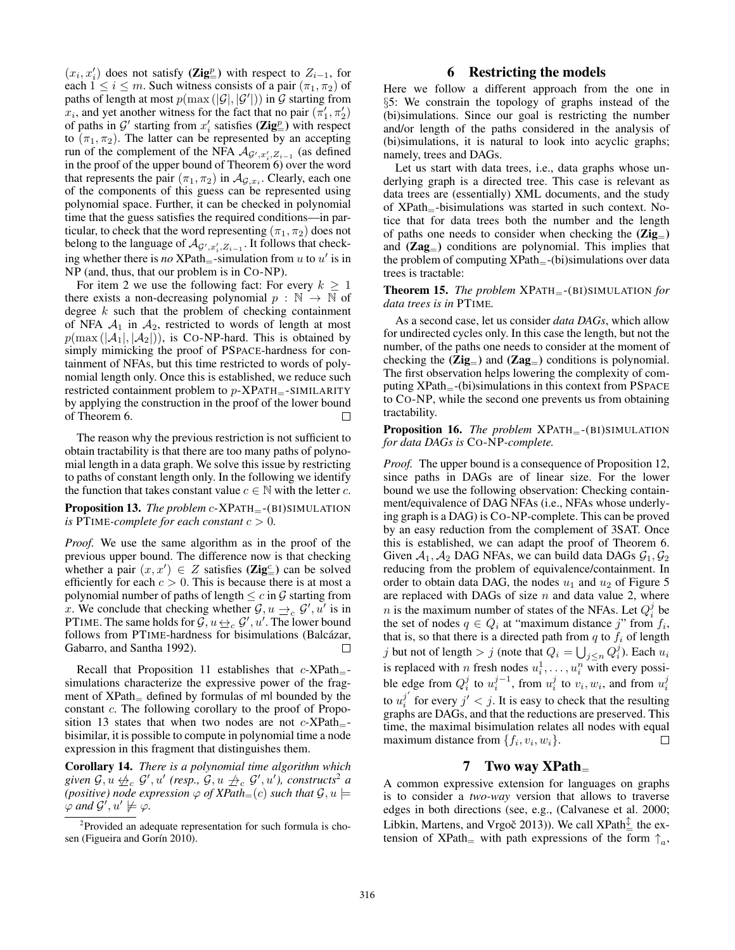$(x_i, x'_i)$  does not satisfy (Zig<sup>p</sup><sub>=</sub>) with respect to  $Z_{i-1}$ , for each  $1 \leq i \leq m$ . Such witness consists of a pair  $(\pi_1, \pi_2)$  of paths of length at most  $p(\max(|\mathcal{G}|, |\mathcal{G}'|))$  in  $\mathcal G$  starting from  $x_i$ , and yet another witness for the fact that no pair  $(\pi'_1, \pi'_2)$ of paths in  $\mathcal{G}'$  starting from  $x'_i$  satisfies  $(\mathbf{Zig}^p_{\equiv})$  with respect to  $(\pi_1, \pi_2)$ . The latter can be represented by an accepting run of the complement of the NFA  $\mathcal{A}_{\mathcal{G}',x'_i,\mathcal{Z}_{i-1}}$  (as defined in the proof of the upper bound of Theorem 6) over the word that represents the pair  $(\pi_1, \pi_2)$  in  $\mathcal{A}_{\mathcal{G},x_i}$ . Clearly, each one of the components of this guess can be represented using polynomial space. Further, it can be checked in polynomial time that the guess satisfies the required conditions—in particular, to check that the word representing  $(\pi_1, \pi_2)$  does not belong to the language of  $\mathcal{A}_{\mathcal{G}',x'_i,\mathcal{Z}_{i-1}}$ . It follows that checking whether there is *no*  $XPath$ <sub>=</sub>-simulation from  $u$  to  $u'$  is in NP (and, thus, that our problem is in CO-NP).

For item 2 we use the following fact: For every  $k \geq 1$ there exists a non-decreasing polynomial  $p : \mathbb{N} \to \mathbb{N}$  of degree  $k$  such that the problem of checking containment of NFA  $A_1$  in  $A_2$ , restricted to words of length at most  $p(\max(|A_1|, |A_2|))$ , is Co-NP-hard. This is obtained by simply mimicking the proof of PSPACE-hardness for containment of NFAs, but this time restricted to words of polynomial length only. Once this is established, we reduce such restricted containment problem to  $p$ -XPATH $=$ -SIMILARITY by applying the construction in the proof of the lower bound of Theorem 6.  $\Box$ 

The reason why the previous restriction is not sufficient to obtain tractability is that there are too many paths of polynomial length in a data graph. We solve this issue by restricting to paths of constant length only. In the following we identify the function that takes constant value  $c \in \mathbb{N}$  with the letter c.

Proposition 13. *The problem* c-XPATH<sub>=</sub>-(BI)SIMULATION *is* PTIME-complete for each constant  $c > 0$ .

*Proof.* We use the same algorithm as in the proof of the previous upper bound. The difference now is that checking whether a pair  $(x, x') \in Z$  satisfies (**Zig**<sup>c</sup>) can be solved efficiently for each  $c > 0$ . This is because there is at most a polynomial number of paths of length  $\leq c$  in  $\mathcal G$  starting from x. We conclude that checking whether  $G, u \rightarrow_c G', u'$  is in PTIME. The same holds for  $\mathcal{G}, u \leftrightarrow_{c} \mathcal{G}', u'$ . The lower bound follows from PTIME-hardness for bisimulations (Balcázar, Gabarro, and Santha 1992).  $\Box$ 

Recall that Proposition 11 establishes that  $c$ -XPath<sub>=</sub>simulations characterize the expressive power of the fragment of  $XPath$ <sub> $=$ </sub> defined by formulas of ml bounded by the constant c. The following corollary to the proof of Proposition 13 states that when two nodes are not  $c$ -XPath-bisimilar, it is possible to compute in polynomial time a node expression in this fragment that distinguishes them.

Corollary 14. *There is a polynomial time algorithm which*  $given$   $G, u \nleftrightarrow_{c} G', u'$  (resp.,  $G, u \nleftrightarrow_{c} G', u'$ ), constructs<sup>2</sup> a *(positive)* node expression  $\varphi$  of XPath<sub>=</sub> $(c)$  *such that*  $\mathcal{G}, u \models$  $\varphi$  and  $\mathcal{G}^{\prime}, u^{\prime} \not\models \varphi$ .

#### 6 Restricting the models

Here we follow a different approach from the one in §5: We constrain the topology of graphs instead of the (bi)simulations. Since our goal is restricting the number and/or length of the paths considered in the analysis of (bi)simulations, it is natural to look into acyclic graphs; namely, trees and DAGs.

Let us start with data trees, i.e., data graphs whose underlying graph is a directed tree. This case is relevant as data trees are (essentially) XML documents, and the study of XPath=-bisimulations was started in such context. Notice that for data trees both the number and the length of paths one needs to consider when checking the  $(Zig_{=})$ and  $(Zag_{-})$  conditions are polynomial. This implies that the problem of computing  $XPath_{-}$ -(bi)simulations over data trees is tractable:

Theorem 15. *The problem* XPATH=-(BI)SIMULATION *for data trees is in* PTIME*.*

As a second case, let us consider *data DAGs*, which allow for undirected cycles only. In this case the length, but not the number, of the paths one needs to consider at the moment of checking the  $(Zig_{=})$  and  $(Zag_{=})$  conditions is polynomial. The first observation helps lowering the complexity of computing  $XPath$ <sub>=</sub>-(bi)simulations in this context from PSPACE to CO-NP, while the second one prevents us from obtaining tractability.

Proposition 16. *The problem* XPATH<sub>=</sub>-(BI)SIMULATION *for data DAGs is* CO-NP*-complete.*

*Proof.* The upper bound is a consequence of Proposition 12, since paths in DAGs are of linear size. For the lower bound we use the following observation: Checking containment/equivalence of DAG NFAs (i.e., NFAs whose underlying graph is a DAG) is CO-NP-complete. This can be proved by an easy reduction from the complement of 3SAT. Once this is established, we can adapt the proof of Theorem 6. Given  $A_1$ ,  $A_2$  DAG NFAs, we can build data DAGs  $G_1$ ,  $G_2$ reducing from the problem of equivalence/containment. In order to obtain data DAG, the nodes  $u_1$  and  $u_2$  of Figure 5 are replaced with DAGs of size  $n$  and data value 2, where *n* is the maximum number of states of the NFAs. Let  $Q_i^j$  be the set of nodes  $q \in Q_i$  at "maximum distance j" from  $f_i$ , that is, so that there is a directed path from  $q$  to  $f_i$  of length j but not of length  $> j$  (note that  $Q_i = \bigcup_{j \leq n} Q_i^j$ ). Each  $u_i$ is replaced with *n* fresh nodes  $u_i^1, \ldots, u_i^n$  with every possible edge from  $Q_i^j$  to  $u_i^{j-1}$ , from  $u_i^j$  to  $v_i, w_i$ , and from  $u_i^j$ to  $u_i^{j'}$  for every  $j' < j$ . It is easy to check that the resulting graphs are DAGs, and that the reductions are preserved. This time, the maximal bisimulation relates all nodes with equal maximum distance from  $\{f_i, v_i, w_i\}$ . П

#### 7 Two way XPath<sup>=</sup>

A common expressive extension for languages on graphs is to consider a *two-way* version that allows to traverse edges in both directions (see, e.g., (Calvanese et al. 2000; Libkin, Martens, and Vrgoč 2013)). We call XPath $\pm$  the extension of XPath<sub>=</sub> with path expressions of the form  $\uparrow_a$ ,

<sup>&</sup>lt;sup>2</sup>Provided an adequate representation for such formula is chosen (Figueira and Gorín 2010).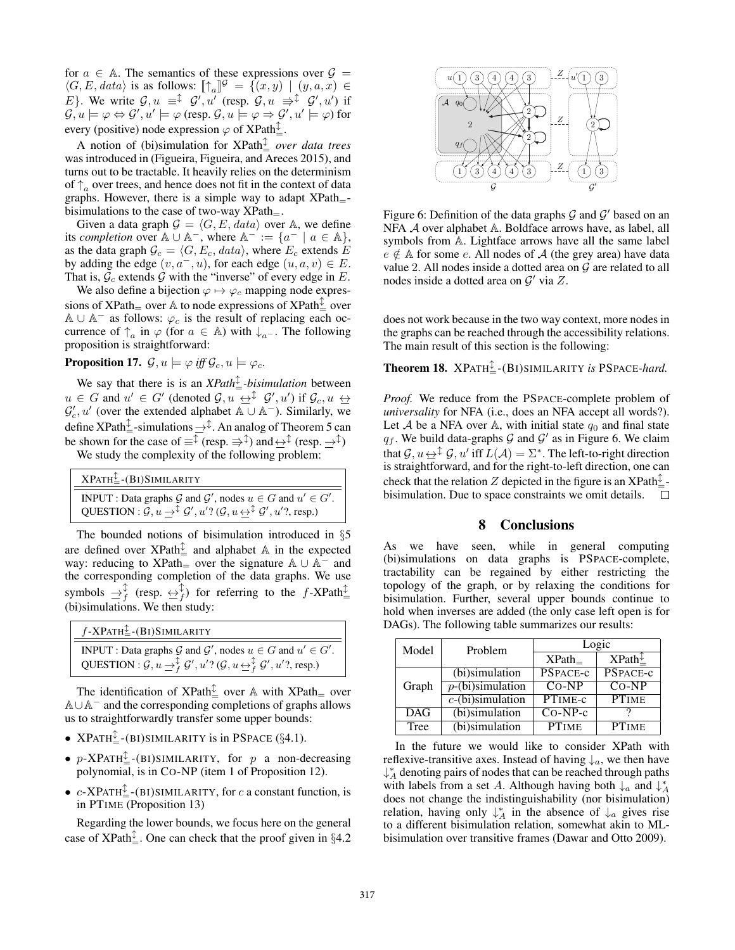for  $a \in A$ . The semantics of these expressions over  $\mathcal{G} =$  $\langle G, E, data \rangle$  is as follows:  $[\![\uparrow_a]\!]^{\mathcal{G}} = \{ (x, y) \mid (y, a, x) \in$ E}. We write  $G, u = \downarrow \mathcal{G}', u'$  (resp.  $G, u \Rightarrow \downarrow \mathcal{G}', u'$ ) if  $\mathcal{G}, u \models \varphi \Leftrightarrow \mathcal{G}', u' \models \varphi \text{ (resp. } \mathcal{G}, u \models \varphi \Rightarrow \mathcal{G}', u' \models \varphi) \text{ for }$ every (positive) node expression  $\varphi$  of XPath $\frac{\updownarrow}{=}$ .

A notion of (bi)simulation for XPath <sup>=</sup> *over data trees* was introduced in (Figueira, Figueira, and Areces 2015), and turns out to be tractable. It heavily relies on the determinism of  $\uparrow_a$  over trees, and hence does not fit in the context of data graphs. However, there is a simple way to adapt  $XPath$ <sub>=</sub>bisimulations to the case of two-way  $XPath_{-}$ .

Given a data graph  $G = \langle G, E, data \rangle$  over A, we define its *completion* over  $\mathbb{A} \cup \mathbb{A}^-$ , where  $\mathbb{A}^- := \{a^- \mid a \in \mathbb{A}\},\$ as the data graph  $\mathcal{G}_c = \langle G, E_c, data \rangle$ , where  $E_c$  extends E by adding the edge  $(v, a^-, u)$ , for each edge  $(u, a, v) \in E$ . That is,  $\bar{G}_c$  extends  $\hat{G}$  with the "inverse" of every edge in E.

We also define a bijection  $\varphi \mapsto \varphi_c$  mapping node expressions of XPath $_{=}$  over A to node expressions of XPath $_{=}^{\updownarrow}$  over  $A \cup A^-$  as follows:  $\varphi_c$  is the result of replacing each occurrence of  $\uparrow_a$  in  $\varphi$  (for  $a \in A$ ) with  $\downarrow_{a^-}$ . The following proposition is straightforward:

**Proposition 17.**  $\mathcal{G}, u \models \varphi \text{ iff } \mathcal{G}_c, u \models \varphi_c$ .

We say that there is is an *XPath*<sup> $\perp$ </sup> *bisimulation* between  $u \in G$  and  $u' \in G'$  (denoted  $\mathcal{G}, u \leftrightarrow$   $\mathcal{F}$ ,  $g', u'$ ) if  $\mathcal{G}_c, u \leftrightarrow$  $\mathcal{G}'_c, u'$  (over the extended alphabet  $\mathbb{A} \cup \mathbb{A}^-$ ). Similarly, we define XPath $\pm$ -simulations  $\Rightarrow^{\updownarrow}$ . An analog of Theorem 5 can be shown for the case of  $\equiv^{\updownarrow}$  (resp.  $\Rightarrow^{\updownarrow}$ ) and  $\leftrightarrow^{\updownarrow}$  (resp.  $\rightarrow^{\updownarrow}$ )

We study the complexity of the following problem:

| $XPATH_{=}^{\mathcal{I}}-(BI)SIMILARITY$                                                                                                                                                                                |
|-------------------------------------------------------------------------------------------------------------------------------------------------------------------------------------------------------------------------|
| <b>INPUT</b> : Data graphs G and G', nodes $u \in G$ and $u' \in G'$ .<br>QUESTION : $\mathcal{G}, u \to^{\updownarrow} \mathcal{G}', u'$ ? $(\mathcal{G}, u \leftrightarrow^{\updownarrow} \mathcal{G}', u'$ ?, resp.) |

The bounded notions of bisimulation introduced in §5 are defined over  $XPath_{\pm}^{\updownarrow}$  and alphabet A in the expected way: reducing to XPath $=$  over the signature  $A \cup A^-$  and the corresponding completion of the data graphs. We use symbols  $\Rightarrow_f^{\updownarrow}$  (resp.  $\leftrightarrow_f^{\updownarrow}$ ) for referring to the f-XPath $\downarrow^{\updownarrow}$ (bi)simulations. We then study:

| $f$ -XPATH $_{-}^{\updownarrow}$ -(BI)SIMILARITY                                                                                                           |
|------------------------------------------------------------------------------------------------------------------------------------------------------------|
| <b>INPUT</b> : Data graphs G and G', nodes $u \in G$ and $u' \in G'$ .                                                                                     |
| QUESTION : $\mathcal{G}, u \rightarrow_f^{\updownarrow} \mathcal{G}', u'$ ? ( $\mathcal{G}, u \leftrightarrow_f^{\updownarrow} \mathcal{G}', u'$ ?, resp.) |

The identification of XPath $\frac{1}{2}$  over A with XPath = over <sup>A</sup>∪A<sup>−</sup> and the corresponding completions of graphs allows us to straightforwardly transfer some upper bounds:

- $XPATH^{\mathcal{L}}_{\pm}$ -(BI)SIMILARITY is in PSPACE (§4.1).
- $p$ -XPATH<sup> $\updownarrow$ </sup>-(BI)SIMILARITY, for p a non-decreasing polynomial, is in CO-NP (item 1 of Proposition 12).
- $c$ -XPATH<sup> $\frac{1}{2}$ </sup>-(BI)SIMILARITY, for c a constant function, is in PTIME (Proposition 13)

Regarding the lower bounds, we focus here on the general case of XPath $\frac{1}{2}$ . One can check that the proof given in §4.2



Figure 6: Definition of the data graphs  $G$  and  $G'$  based on an NFA <sup>A</sup> over alphabet <sup>A</sup>. Boldface arrows have, as label, all symbols from A. Lightface arrows have all the same label  $e \notin A$  for some e. All nodes of A (the grey area) have data value 2. All nodes inside a dotted area on  $G$  are related to all nodes inside a dotted area on  $\mathcal{G}'$  via Z.

does not work because in the two way context, more nodes in the graphs can be reached through the accessibility relations. The main result of this section is the following:

Theorem 18. XPATH <sup>=</sup>-(BI)SIMILARITY *is* PSPACE*-hard.*

*Proof.* We reduce from the PSPACE-complete problem of *universality* for NFA (i.e., does an NFA accept all words?). Let A be a NFA over A, with initial state  $q_0$  and final state  $q_f$ . We build data-graphs G and G' as in Figure 6. We claim that  $\mathcal{G}, u \leftrightarrow^{\updownarrow} \mathcal{G}, u'$  iff  $L(\mathcal{A}) = \Sigma^*$ . The left-to-right direction is straightforward, and for the right-to-left direction, one can check that the relation Z depicted in the figure is an XPath $\frac{1}{2}$ bisimulation. Due to space constraints we omit details.

#### 8 Conclusions

As we have seen, while in general computing (bi)simulations on data graphs is PSPACE-complete, tractability can be regained by either restricting the topology of the graph, or by relaxing the conditions for bisimulation. Further, several upper bounds continue to hold when inverses are added (the only case left open is for DAGs). The following table summarizes our results:

| Model      | Problem             |              | Logic                 |
|------------|---------------------|--------------|-----------------------|
|            |                     | XPath        | $XPath^{\mathcal{I}}$ |
| Graph      | $(bi)$ simulation   | PSPACE-c     | PSPACE-c              |
|            | $p$ -(bi)simulation | $CO-NP$      | $CO-NP$               |
|            | $c$ -(bi)simulation | PTIME-c      | <b>PTIME</b>          |
| <b>DAG</b> | (bi)simulation      | $Co-NP-c$    |                       |
| Tree       | (bi)simulation      | <b>PTIME</b> | <b>PTIME</b>          |

In the future we would like to consider XPath with reflexive-transitive axes. Instead of having  $\downarrow_a$ , we then have ↓∗ <sup>A</sup> denoting pairs of nodes that can be reached through paths with labels from a set A. Although having both  $\downarrow_a$  and  $\downarrow_A^*$ does not change the indistinguishability (nor bisimulation) relation, having only  $\downarrow_A^*$  in the absence of  $\downarrow_a$  gives rise to a different bisimulation relation, somewhat akin to MLbisimulation over transitive frames (Dawar and Otto 2009).